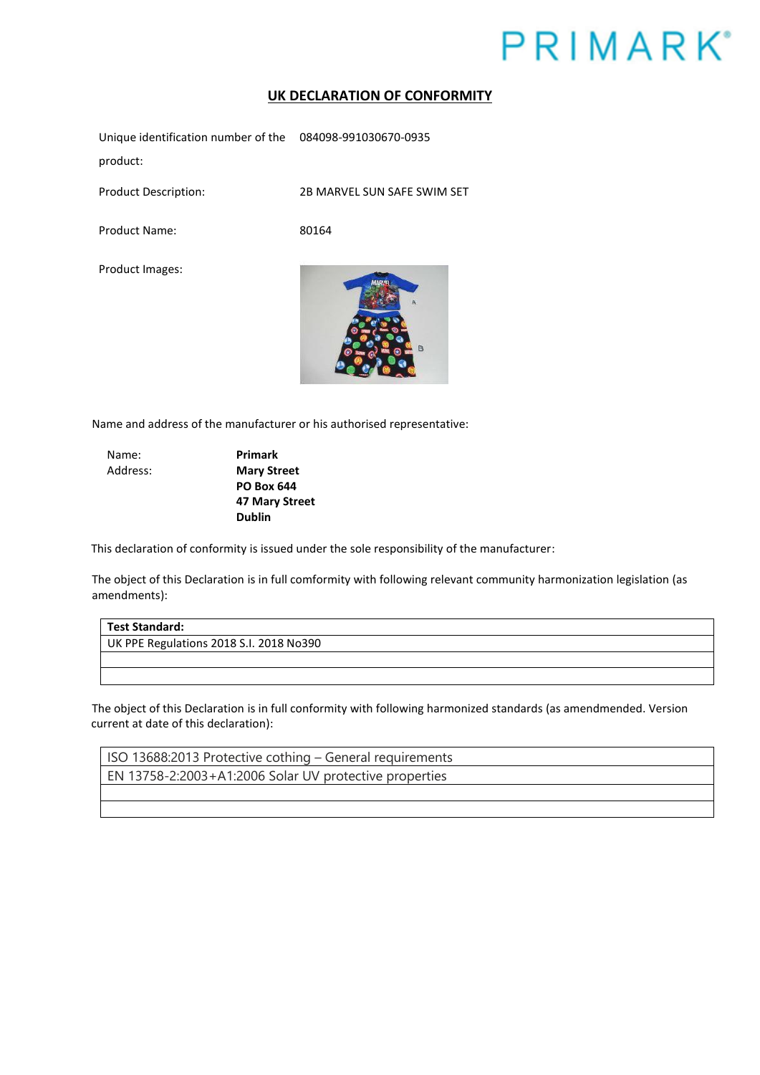## **PRIMARK**<sup>\*</sup>

## **UK DECLARATION OF CONFORMITY**

Unique identification number of the 084098-991030670-0935 product:

Product Description: 2B MARVEL SUN SAFE SWIM SET

Product Name: 80164

Product Images:



Name and address of the manufacturer or his authorised representative:

Name: **Primark** 

Address: **Mary Street PO Box 644 47 Mary Street Dublin** 

This declaration of conformity is issued under the sole responsibility of the manufacturer:

The object of this Declaration is in full comformity with following relevant community harmonization legislation (as amendments):

**Test Standard:**  UK PPE Regulations 2018 S.I. 2018 No390

The object of this Declaration is in full conformity with following harmonized standards (as amendmended. Version current at date of this declaration):

ISO 13688:2013 Protective cothing – General requirements EN 13758-2:2003+A1:2006 Solar UV protective properties